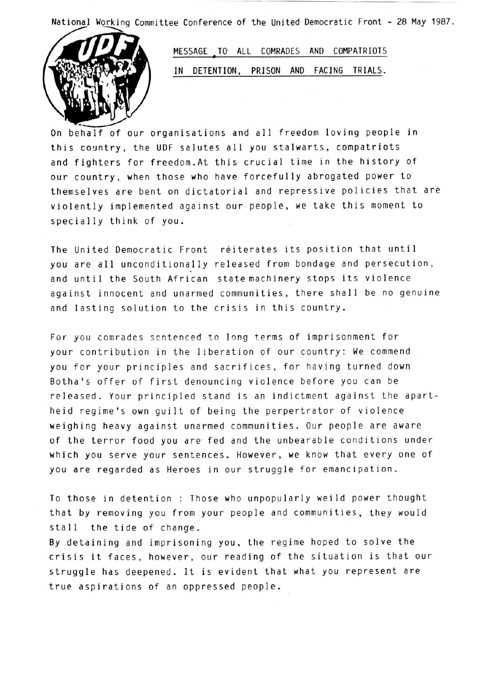National Working Committee Conference of the United Democratic Front • 28 May 1987 .



MESSAGE TO ALL COMRADES AND COMPATRIOTS IN DETENTION, PRISON AND FACING TRIALS.

On behalf of our organisations and all freedom loving people in this country, the UDF salutes all you stalwarts, compatriots and fighters for freedom .At this crucial time in the history of our country, when those who have forcefully abrogated power to themselves are bent on dictatorial and repressive policies that are violently implemented against our people, we take this moment to specially think of you.

The United Democratic Front reiterates its position that until you are all unconditionally released from bondage and persecution, and until the South African state machinery stops its violence against innocent and unarmed communities, there shall be no genuine and lasting solution to the crisis in this country.

For you comrades sentenced to long terms of imprisonment for your contribution in the liberation of our country: We commend you for your principles and sacrifices, for having turned down Botha's offer of first denouncing violence before you can be released. Your principled stand is an indictment against the apartheid regime's own guilt of being the perpertrator of violence weighing heavy against unarmed communities . Our people are aware of the terror food you are' fed and the unbearable conditions under which you serve your sentences . However, we know that every one of you are regarded as Heroes in our struggle for emancipation .

To those in detention : Those who unpopularly weild power thought that by removing you from your people and communities, they would stall the tide of change .

By detaining and imprisoning you, the regime hoped to solve the crisis it faces, however, our reading of the situation is that our struggle has deepened. It is evident that what you represent are true aspirations of an oppressed people .